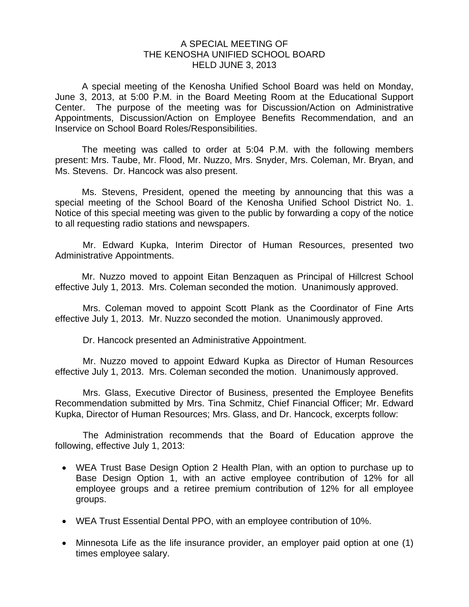## A SPECIAL MEETING OF THE KENOSHA UNIFIED SCHOOL BOARD HELD JUNE 3, 2013

 A special meeting of the Kenosha Unified School Board was held on Monday, June 3, 2013, at 5:00 P.M. in the Board Meeting Room at the Educational Support Center. The purpose of the meeting was for Discussion/Action on Administrative Appointments, Discussion/Action on Employee Benefits Recommendation, and an Inservice on School Board Roles/Responsibilities.

 The meeting was called to order at 5:04 P.M. with the following members present: Mrs. Taube, Mr. Flood, Mr. Nuzzo, Mrs. Snyder, Mrs. Coleman, Mr. Bryan, and Ms. Stevens. Dr. Hancock was also present.

 Ms. Stevens, President, opened the meeting by announcing that this was a special meeting of the School Board of the Kenosha Unified School District No. 1. Notice of this special meeting was given to the public by forwarding a copy of the notice to all requesting radio stations and newspapers.

 Mr. Edward Kupka, Interim Director of Human Resources, presented two Administrative Appointments.

 Mr. Nuzzo moved to appoint Eitan Benzaquen as Principal of Hillcrest School effective July 1, 2013. Mrs. Coleman seconded the motion. Unanimously approved.

 Mrs. Coleman moved to appoint Scott Plank as the Coordinator of Fine Arts effective July 1, 2013. Mr. Nuzzo seconded the motion. Unanimously approved.

Dr. Hancock presented an Administrative Appointment.

 Mr. Nuzzo moved to appoint Edward Kupka as Director of Human Resources effective July 1, 2013. Mrs. Coleman seconded the motion. Unanimously approved.

 Mrs. Glass, Executive Director of Business, presented the Employee Benefits Recommendation submitted by Mrs. Tina Schmitz, Chief Financial Officer; Mr. Edward Kupka, Director of Human Resources; Mrs. Glass, and Dr. Hancock, excerpts follow:

 The Administration recommends that the Board of Education approve the following, effective July 1, 2013:

- WEA Trust Base Design Option 2 Health Plan, with an option to purchase up to Base Design Option 1, with an active employee contribution of 12% for all employee groups and a retiree premium contribution of 12% for all employee groups.
- WEA Trust Essential Dental PPO, with an employee contribution of 10%.
- Minnesota Life as the life insurance provider, an employer paid option at one (1) times employee salary.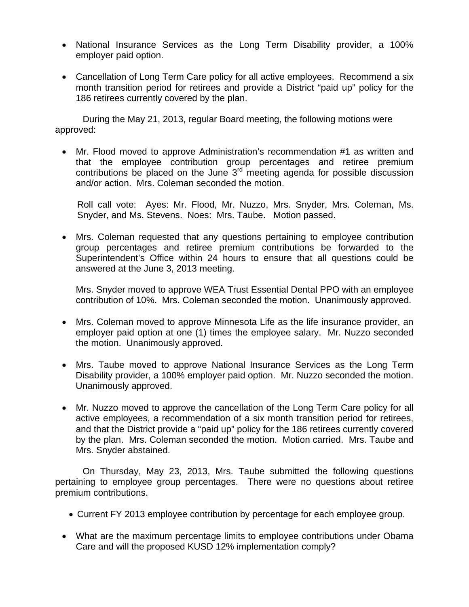- National Insurance Services as the Long Term Disability provider, a 100% employer paid option.
- Cancellation of Long Term Care policy for all active employees. Recommend a six month transition period for retirees and provide a District "paid up" policy for the 186 retirees currently covered by the plan.

 During the May 21, 2013, regular Board meeting, the following motions were approved:

 Mr. Flood moved to approve Administration's recommendation #1 as written and that the employee contribution group percentages and retiree premium contributions be placed on the June 3rd meeting agenda for possible discussion and/or action. Mrs. Coleman seconded the motion.

Roll call vote: Ayes: Mr. Flood, Mr. Nuzzo, Mrs. Snyder, Mrs. Coleman, Ms. Snyder, and Ms. Stevens. Noes: Mrs. Taube. Motion passed.

 Mrs. Coleman requested that any questions pertaining to employee contribution group percentages and retiree premium contributions be forwarded to the Superintendent's Office within 24 hours to ensure that all questions could be answered at the June 3, 2013 meeting.

Mrs. Snyder moved to approve WEA Trust Essential Dental PPO with an employee contribution of 10%. Mrs. Coleman seconded the motion. Unanimously approved.

- Mrs. Coleman moved to approve Minnesota Life as the life insurance provider, an employer paid option at one (1) times the employee salary. Mr. Nuzzo seconded the motion. Unanimously approved.
- Mrs. Taube moved to approve National Insurance Services as the Long Term Disability provider, a 100% employer paid option. Mr. Nuzzo seconded the motion. Unanimously approved.
- Mr. Nuzzo moved to approve the cancellation of the Long Term Care policy for all active employees, a recommendation of a six month transition period for retirees, and that the District provide a "paid up" policy for the 186 retirees currently covered by the plan. Mrs. Coleman seconded the motion. Motion carried. Mrs. Taube and Mrs. Snyder abstained.

 On Thursday, May 23, 2013, Mrs. Taube submitted the following questions pertaining to employee group percentages. There were no questions about retiree premium contributions.

- Current FY 2013 employee contribution by percentage for each employee group.
- What are the maximum percentage limits to employee contributions under Obama Care and will the proposed KUSD 12% implementation comply?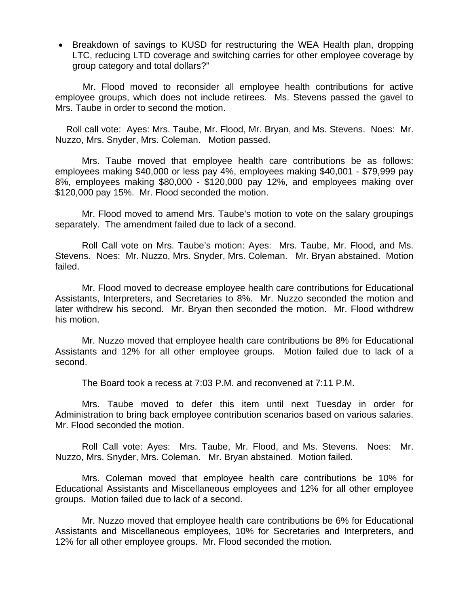• Breakdown of savings to KUSD for restructuring the WEA Health plan, dropping LTC, reducing LTD coverage and switching carries for other employee coverage by group category and total dollars?"

 Mr. Flood moved to reconsider all employee health contributions for active employee groups, which does not include retirees. Ms. Stevens passed the gavel to Mrs. Taube in order to second the motion.

Roll call vote: Ayes: Mrs. Taube, Mr. Flood, Mr. Bryan, and Ms. Stevens. Noes: Mr. Nuzzo, Mrs. Snyder, Mrs. Coleman. Motion passed.

 Mrs. Taube moved that employee health care contributions be as follows: employees making \$40,000 or less pay 4%, employees making \$40,001 - \$79,999 pay 8%, employees making \$80,000 - \$120,000 pay 12%, and employees making over \$120,000 pay 15%. Mr. Flood seconded the motion.

 Mr. Flood moved to amend Mrs. Taube's motion to vote on the salary groupings separately. The amendment failed due to lack of a second.

 Roll Call vote on Mrs. Taube's motion: Ayes: Mrs. Taube, Mr. Flood, and Ms. Stevens. Noes: Mr. Nuzzo, Mrs. Snyder, Mrs. Coleman. Mr. Bryan abstained. Motion failed.

 Mr. Flood moved to decrease employee health care contributions for Educational Assistants, Interpreters, and Secretaries to 8%. Mr. Nuzzo seconded the motion and later withdrew his second. Mr. Bryan then seconded the motion. Mr. Flood withdrew his motion.

 Mr. Nuzzo moved that employee health care contributions be 8% for Educational Assistants and 12% for all other employee groups. Motion failed due to lack of a second.

The Board took a recess at 7:03 P.M. and reconvened at 7:11 P.M.

 Mrs. Taube moved to defer this item until next Tuesday in order for Administration to bring back employee contribution scenarios based on various salaries. Mr. Flood seconded the motion.

 Roll Call vote: Ayes: Mrs. Taube, Mr. Flood, and Ms. Stevens. Noes: Mr. Nuzzo, Mrs. Snyder, Mrs. Coleman. Mr. Bryan abstained. Motion failed.

 Mrs. Coleman moved that employee health care contributions be 10% for Educational Assistants and Miscellaneous employees and 12% for all other employee groups. Motion failed due to lack of a second.

 Mr. Nuzzo moved that employee health care contributions be 6% for Educational Assistants and Miscellaneous employees, 10% for Secretaries and Interpreters, and 12% for all other employee groups. Mr. Flood seconded the motion.